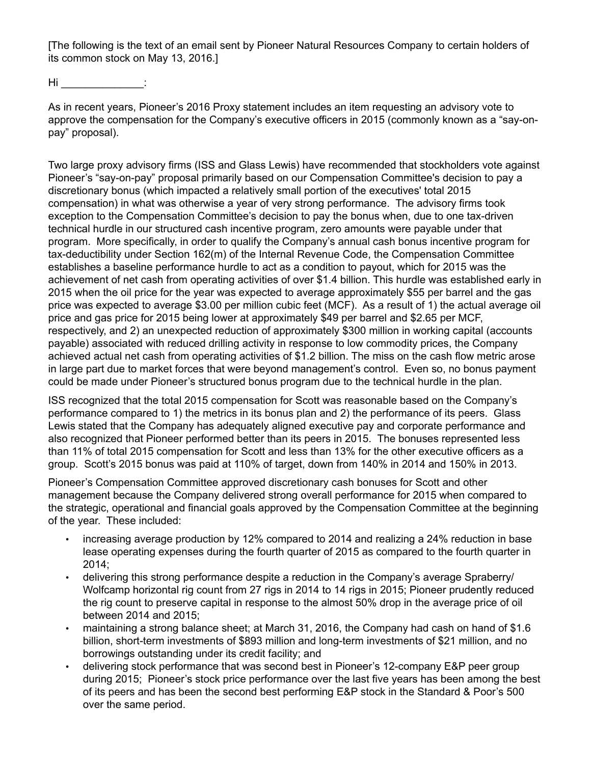[The following is the text of an email sent by Pioneer Natural Resources Company to certain holders of its common stock on May 13, 2016.]

 $\mathsf{Hi}$   $\qquad \qquad$  :

As in recent years, Pioneer's 2016 Proxy statement includes an item requesting an advisory vote to approve the compensation for the Company's executive officers in 2015 (commonly known as a "say-onpay" proposal).

Two large proxy advisory firms (ISS and Glass Lewis) have recommended that stockholders vote against Pioneer's "say-on-pay" proposal primarily based on our Compensation Committee's decision to pay a discretionary bonus (which impacted a relatively small portion of the executives' total 2015 compensation) in what was otherwise a year of very strong performance. The advisory firms took exception to the Compensation Committee's decision to pay the bonus when, due to one tax-driven technical hurdle in our structured cash incentive program, zero amounts were payable under that program. More specifically, in order to qualify the Company's annual cash bonus incentive program for tax-deductibility under Section 162(m) of the Internal Revenue Code, the Compensation Committee establishes a baseline performance hurdle to act as a condition to payout, which for 2015 was the achievement of net cash from operating activities of over \$1.4 billion. This hurdle was established early in 2015 when the oil price for the year was expected to average approximately \$55 per barrel and the gas price was expected to average \$3.00 per million cubic feet (MCF). As a result of 1) the actual average oil price and gas price for 2015 being lower at approximately \$49 per barrel and \$2.65 per MCF, respectively, and 2) an unexpected reduction of approximately \$300 million in working capital (accounts payable) associated with reduced drilling activity in response to low commodity prices, the Company achieved actual net cash from operating activities of \$1.2 billion. The miss on the cash flow metric arose in large part due to market forces that were beyond management's control. Even so, no bonus payment could be made under Pioneer's structured bonus program due to the technical hurdle in the plan.

ISS recognized that the total 2015 compensation for Scott was reasonable based on the Company's performance compared to 1) the metrics in its bonus plan and 2) the performance of its peers. Glass Lewis stated that the Company has adequately aligned executive pay and corporate performance and also recognized that Pioneer performed better than its peers in 2015. The bonuses represented less than 11% of total 2015 compensation for Scott and less than 13% for the other executive officers as a group. Scott's 2015 bonus was paid at 110% of target, down from 140% in 2014 and 150% in 2013.

Pioneer's Compensation Committee approved discretionary cash bonuses for Scott and other management because the Company delivered strong overall performance for 2015 when compared to the strategic, operational and financial goals approved by the Compensation Committee at the beginning of the year. These included:

- increasing average production by 12% compared to 2014 and realizing a 24% reduction in base lease operating expenses during the fourth quarter of 2015 as compared to the fourth quarter in 2014;
- delivering this strong performance despite a reduction in the Company's average Spraberry/ Wolfcamp horizontal rig count from 27 rigs in 2014 to 14 rigs in 2015; Pioneer prudently reduced the rig count to preserve capital in response to the almost 50% drop in the average price of oil between 2014 and 2015;
- maintaining a strong balance sheet; at March 31, 2016, the Company had cash on hand of \$1.6 billion, short-term investments of \$893 million and long-term investments of \$21 million, and no borrowings outstanding under its credit facility; and
- delivering stock performance that was second best in Pioneer's 12-company E&P peer group during 2015; Pioneer's stock price performance over the last five years has been among the best of its peers and has been the second best performing E&P stock in the Standard & Poor's 500 over the same period.